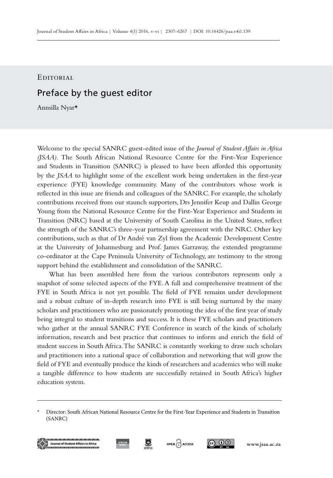EDITORIAL

## Preface by the guest editor

Annsilla Nyar\*

Welcome to the special SANRC guest-edited issue of the *Journal of Student Affairs in Africa (JSAA).* The South African National Resource Centre for the First-Year Experience and Students in Transition (SANRC) is pleased to have been afforded this opportunity by the *JSAA* to highlight some of the excellent work being undertaken in the first-year experience (FYE) knowledge community. Many of the contributors whose work is reflected in this issue are friends and colleagues of the SANRC. For example, the scholarly contributions received from our staunch supporters, Drs Jennifer Keup and Dallin George Young from the National Resource Centre for the First-Year Experience and Students in Transition (NRC) based at the University of South Carolina in the United States, reflect the strength of the SANRC's three-year partnership agreement with the NRC. Other key contributions, such as that of Dr André van Zyl from the Academic Development Centre at the University of Johannesburg and Prof. James Garraway, the extended programme co-ordinator at the Cape Peninsula University of Technology, are testimony to the strong support behind the establishment and consolidation of the SANRC.

What has been assembled here from the various contributors represents only a snapshot of some selected aspects of the FYE. A full and comprehensive treatment of the FYE in South Africa is not yet possible. The field of FYE remains under development and a robust culture of in-depth research into FYE is still being nurtured by the many scholars and practitioners who are passionately promoting the idea of the first year of study being integral to student transitions and success. It is these FYE scholars and practitioners who gather at the annual SANRC FYE Conference in search of the kinds of scholarly information, research and best practice that continues to inform and enrich the field of student success in South Africa. The SANRC is constantly working to draw such scholars and practitioners into a national space of collaboration and networking that will grow the field of FYE and eventually produce the kinds of researchers and academics who will make a tangible difference to how students are successfully retained in South Africa's higher education system.

<sup>\*</sup> Director: South African National Resource Centre for the First-Year Experience and Students in Transition (SANRC)